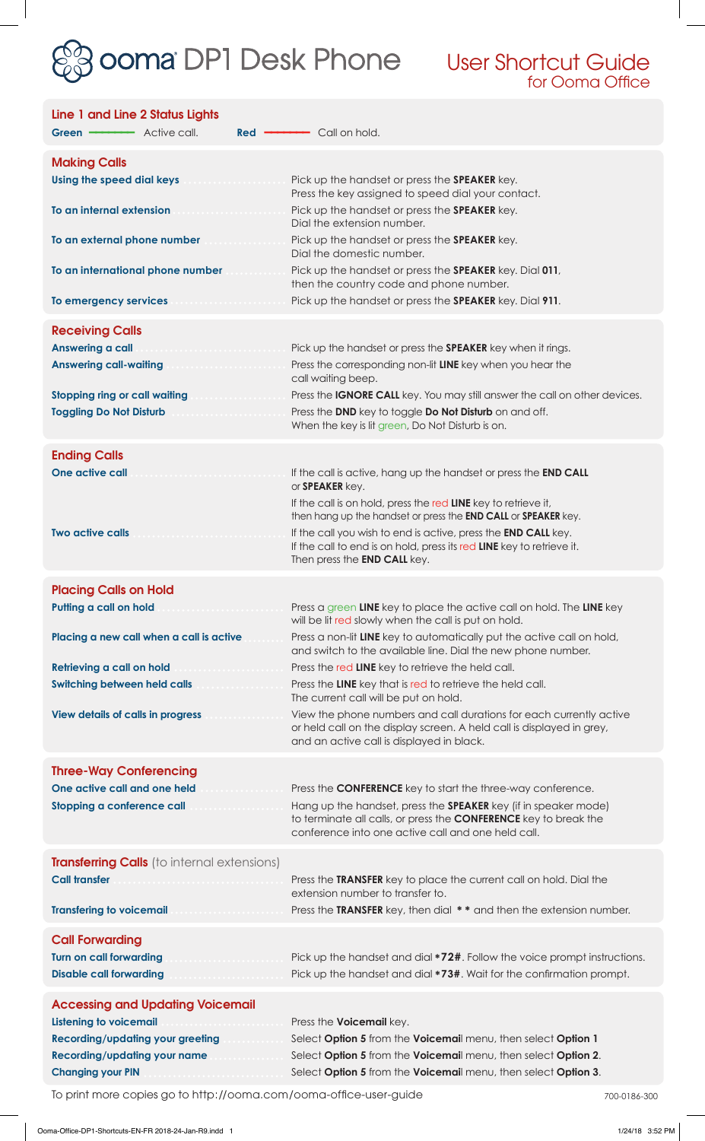

User Shortcut Guide for Ooma Office

| Line 1 and Line 2 Status Lights<br>$Red =$                                                           | - Call on hold.                                                                                                                                                                                         |
|------------------------------------------------------------------------------------------------------|---------------------------------------------------------------------------------------------------------------------------------------------------------------------------------------------------------|
| <b>Making Calls</b>                                                                                  |                                                                                                                                                                                                         |
| Using the speed dial keys and account of the speed dial keys                                         | Pick up the handset or press the SPEAKER key.<br>Press the key assigned to speed dial your contact.                                                                                                     |
| To an internal extension<br>.                                                                        | Pick up the handset or press the SPEAKER key.<br>Dial the extension number.                                                                                                                             |
| To an external phone number                                                                          | Pick up the handset or press the SPEAKER key.<br>Dial the domestic number.                                                                                                                              |
| To an international phone number                                                                     | Pick up the handset or press the <b>SPEAKER</b> key. Dial 011,<br>then the country code and phone number.                                                                                               |
| To emergency services and consumers and                                                              | Pick up the handset or press the SPEAKER key. Dial 911.                                                                                                                                                 |
| <b>Receiving Calls</b>                                                                               |                                                                                                                                                                                                         |
| Answering a call<br>Answering call-waiting <b>Answering Communist Property</b>                       | Pick up the handset or press the <b>SPEAKER</b> key when it rings.<br>Press the corresponding non-lit LINE key when you hear the                                                                        |
|                                                                                                      | call waiting beep.                                                                                                                                                                                      |
| <b>Stopping ring or call waiting</b><br><b>Toggling Do Not Disturb</b>                               | Press the IGNORE CALL key. You may still answer the call on other devices.<br>Press the DND key to toggle Do Not Disturb on and off.<br>When the key is lit green, Do Not Disturb is on.                |
|                                                                                                      |                                                                                                                                                                                                         |
| <b>Ending Calls</b><br>One active call<br>.                                                          | If the call is active, hang up the handset or press the END CALL<br>or SPEAKER key.                                                                                                                     |
|                                                                                                      | If the call is on hold, press the red LINE key to retrieve it,<br>then hang up the handset or press the END CALL or SPEAKER key.                                                                        |
| <b>Two active calls</b><br>.                                                                         | If the call you wish to end is active, press the <b>END CALL</b> key.<br>If the call to end is on hold, press its red LINE key to retrieve it.<br>Then press the <b>END CALL</b> key.                   |
| <b>Placing Calls on Hold</b>                                                                         |                                                                                                                                                                                                         |
| Putting a call on hold                                                                               | Press a green LINE key to place the active call on hold. The LINE key<br>will be lit red slowly when the call is put on hold.                                                                           |
| Placing a new call when a call is active                                                             | Press a non-lit LINE key to automatically put the active call on hold,<br>and switch to the available line. Dial the new phone number.                                                                  |
| Retrieving a call on hold<br><b>Switching between held calls</b>                                     | Press the red LINE key to retrieve the held call.<br>Press the LINE key that is red to retrieve the held call.                                                                                          |
|                                                                                                      | The current call will be put on hold.                                                                                                                                                                   |
| <b>View details of calls in progress</b>                                                             | View the phone numbers and call durations for each currently active<br>or held call on the display screen. A held call is displayed in grey,<br>and an active call is displayed in black.               |
| <b>Three-Way Conferencing</b>                                                                        |                                                                                                                                                                                                         |
| One active call and one held                                                                         | Press the <b>CONFERENCE</b> key to start the three-way conference.                                                                                                                                      |
| Stopping a conference call                                                                           | Hang up the handset, press the <b>SPEAKER</b> key (if in speaker mode)<br>to terminate all calls, or press the <b>CONFERENCE</b> key to break the<br>conference into one active call and one held call. |
| <b>Transferring Calls</b> (to internal extensions)                                                   |                                                                                                                                                                                                         |
| <b>Call transfer</b>                                                                                 | Press the TRANSFER key to place the current call on hold. Dial the<br>extension number to transfer to.                                                                                                  |
| <b>Transfering to voicemail</b>                                                                      | Press the TRANSFER key, then dial ** and then the extension number.                                                                                                                                     |
| <b>Call Forwarding</b><br><b>Turn on call forwarding</b><br>.<br><b>Disable call forwarding</b><br>. | Pick up the handset and dial *72#. Follow the voice prompt instructions.<br>Pick up the handset and dial *73#. Wait for the confirmation prompt.                                                        |
| <b>Accessing and Updating Voicemail</b>                                                              |                                                                                                                                                                                                         |
| <b>Listening to voicemail</b>                                                                        | Press the <b>Voicemail</b> key.                                                                                                                                                                         |
| <b>Recording/updating your greeting</b><br><b>Recording/updating your name</b>                       | Select Option 5 from the Voicemail menu, then select Option 1<br>Select Option 5 from the Voicemail menu, then select Option 2.                                                                         |
| <b>Changing your PIN</b>                                                                             | Select Option 5 from the Voicemail menu, then select Option 3.                                                                                                                                          |

To print more copies go to http://ooma.com/ooma-office-user-guide 700-0186-300